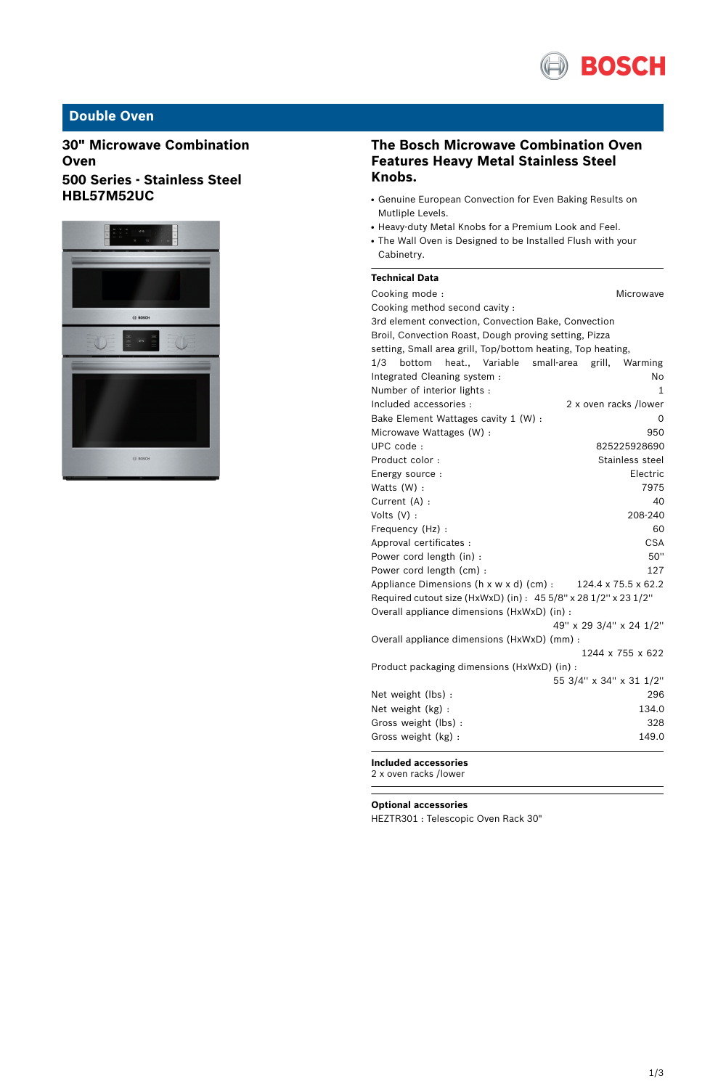

## **Double Oven**

**30" Microwave Combination Oven 500 Series - Stainless Steel HBL57M52UC**



### **The Bosch Microwave Combination Oven Features Heavy Metal Stainless Steel Knobs.**

- Genuine European Convection for Even Baking Results on Mutliple Levels.
- Heavy-duty Metal Knobs for a Premium Look and Feel.
- The Wall Oven is Designed to be Installed Flush with your Cabinetry.

### **Technical Data**

| Cooking mode:                                                             |              |                 | Microwave               |  |
|---------------------------------------------------------------------------|--------------|-----------------|-------------------------|--|
| Cooking method second cavity :                                            |              |                 |                         |  |
| 3rd element convection, Convection Bake, Convection                       |              |                 |                         |  |
| Broil, Convection Roast, Dough proving setting, Pizza                     |              |                 |                         |  |
| setting, Small area grill, Top/bottom heating, Top heating,               |              |                 |                         |  |
| heat Variable<br>1/3<br>bottom                                            | small-area   | grill,          | Warming                 |  |
| Integrated Cleaning system :                                              |              |                 | No                      |  |
| Number of interior lights :                                               |              |                 | 1                       |  |
| Included accessories :                                                    |              |                 | 2 x oven racks /lower   |  |
| Bake Element Wattages cavity 1 (W) :                                      |              |                 | 0                       |  |
| Microwave Wattages (W) :                                                  |              |                 | 950                     |  |
| UPC code:                                                                 | 825225928690 |                 |                         |  |
| Product color:                                                            |              | Stainless steel |                         |  |
| Energy source :                                                           |              |                 | Electric                |  |
| Watts (W) :                                                               |              |                 | 7975                    |  |
| Current (A) :                                                             |              |                 | 40                      |  |
| Volts $(V)$ :                                                             |              |                 | 208-240                 |  |
| Frequency (Hz) :                                                          |              |                 | 60                      |  |
| Approval certificates :                                                   |              |                 | <b>CSA</b>              |  |
| Power cord length (in) :                                                  |              |                 | 50"                     |  |
| Power cord length (cm) :                                                  |              |                 | 127                     |  |
| 124.4 x 75.5 x 62.2<br>Appliance Dimensions $(h \times w \times d)$ (cm): |              |                 |                         |  |
| Required cutout size (HxWxD) (in) : 45 5/8" x 28 1/2" x 23 1/2"           |              |                 |                         |  |
| Overall appliance dimensions (HxWxD) (in) :                               |              |                 |                         |  |
|                                                                           |              |                 | 49" x 29 3/4" x 24 1/2" |  |
| Overall appliance dimensions (HxWxD) (mm) :                               |              |                 |                         |  |
|                                                                           |              |                 | 1244 x 755 x 622        |  |
| Product packaging dimensions (HxWxD) (in) :                               |              |                 |                         |  |
|                                                                           |              |                 | 55 3/4" x 34" x 31 1/2" |  |
| Net weight (lbs) :                                                        |              |                 | 296                     |  |
| Net weight (kg) :                                                         | 134.0        |                 |                         |  |
| Gross weight (lbs) :                                                      |              |                 | 328                     |  |
| Gross weight (kg):                                                        |              |                 | 149.0                   |  |
| <b>Included accessories</b>                                               |              |                 |                         |  |

2 x oven racks /lower

**Optional accessories**

HEZTR301 : Telescopic Oven Rack 30"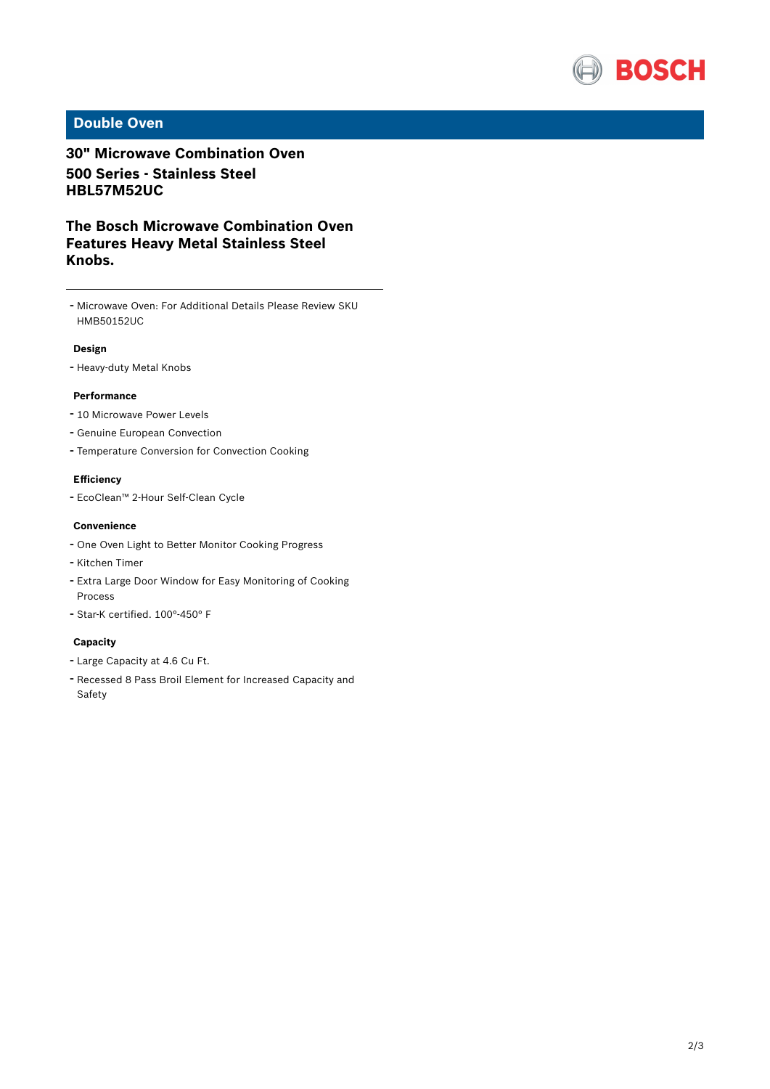

## **Double Oven**

## **30" Microwave Combination Oven 500 Series - Stainless Steel HBL57M52UC**

**The Bosch Microwave Combination Oven Features Heavy Metal Stainless Steel Knobs.**

- Microwave Oven: For Additional Details Please Review SKU HMB50152UC

### **Design**

- Heavy-duty Metal Knobs

#### **Performance**

- <sup>10</sup> Microwave Power Levels
- Genuine European Convection
- Temperature Conversion for Convection Cooking

#### **Efficiency**

- EcoClean™ 2-Hour Self-Clean Cycle

#### **Convenience**

- One Oven Light to Better Monitor Cooking Progress
- Kitchen Timer
- Extra Large Door Window for Easy Monitoring of Cooking Process
- Star-K certified. 100°-450° <sup>F</sup>

#### **Capacity**

- Large Capacity at 4.6 Cu Ft.
- Recessed <sup>8</sup> Pass Broil Element for Increased Capacity and Safety